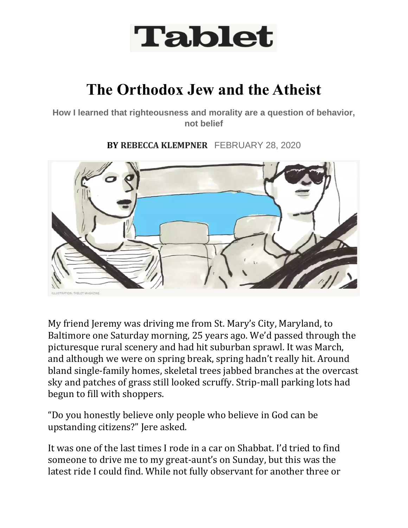

## **The Orthodox Jew and the Atheist**

**How I learned that righteousness and morality are a question of behavior, not belief**

**BY REBECCA KLEMPNER** FEBRUARY 28, 2020



My friend Jeremy was driving me from St. Mary's City, Maryland, to Baltimore one Saturday morning, 25 years ago. We'd passed through the picturesque rural scenery and had hit suburban sprawl. It was March, and although we were on spring break, spring hadn't really hit. Around bland single-family homes, skeletal trees jabbed branches at the overcast sky and patches of grass still looked scruffy. Strip-mall parking lots had begun to fill with shoppers.

"Do you honestly believe only people who believe in God can be upstanding citizens?" Jere asked.

It was one of the last times I rode in a car on Shabbat. I'd tried to find someone to drive me to my great-aunt's on Sunday, but this was the latest ride I could find. While not fully observant for another three or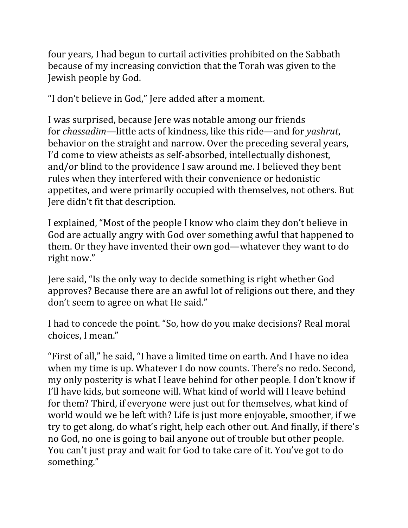four years, I had begun to curtail activities prohibited on the Sabbath because of my increasing conviction that the Torah was given to the Jewish people by God.

"I don't believe in God," Jere added after a moment.

I was surprised, because Jere was notable among our friends for *chassadim*—little acts of kindness, like this ride—and for *yashrut*, behavior on the straight and narrow. Over the preceding several years, I'd come to view atheists as self-absorbed, intellectually dishonest, and/or blind to the providence I saw around me. I believed they bent rules when they interfered with their convenience or hedonistic appetites, and were primarily occupied with themselves, not others. But Jere didn't fit that description.

I explained, "Most of the people I know who claim they don't believe in God are actually angry with God over something awful that happened to them. Or they have invented their own god—whatever they want to do right now."

Jere said, "Is the only way to decide something is right whether God approves? Because there are an awful lot of religions out there, and they don't seem to agree on what He said."

I had to concede the point. "So, how do you make decisions? Real moral choices, I mean."

"First of all," he said, "I have a limited time on earth. And I have no idea when my time is up. Whatever I do now counts. There's no redo. Second, my only posterity is what I leave behind for other people. I don't know if I'll have kids, but someone will. What kind of world will I leave behind for them? Third, if everyone were just out for themselves, what kind of world would we be left with? Life is just more enjoyable, smoother, if we try to get along, do what's right, help each other out. And finally, if there's no God, no one is going to bail anyone out of trouble but other people. You can't just pray and wait for God to take care of it. You've got to do something."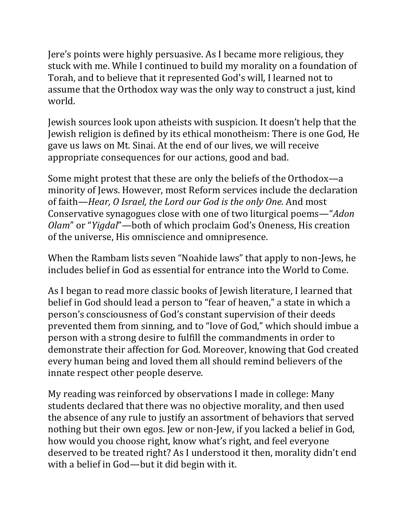Jere's points were highly persuasive. As I became more religious, they stuck with me. While I continued to build my morality on a foundation of Torah, and to believe that it represented God's will, I learned not to assume that the Orthodox way was the only way to construct a just, kind world.

Jewish sources look upon atheists with suspicion. It doesn't help that the Jewish religion is defined by its ethical monotheism: There is one God, He gave us laws on Mt. Sinai. At the end of our lives, we will receive appropriate consequences for our actions, good and bad.

Some might protest that these are only the beliefs of the Orthodox—a minority of Jews. However, most Reform services include the declaration of faith—*Hear, O Israel, the Lord our God is the only One*. And most Conservative synagogues close with one of two liturgical poems—"*Adon Olam*" or "*Yigdal*"—both of which proclaim God's Oneness, His creation of the universe, His omniscience and omnipresence.

When the Rambam lists seven "Noahide laws" that apply to non-Jews, he includes belief in God as essential for entrance into the World to Come.

As I began to read more classic books of Jewish literature, I learned that belief in God should lead a person to "fear of heaven," a state in which a person's consciousness of God's constant supervision of their deeds prevented them from sinning, and to "love of God," which should imbue a person with a strong desire to fulfill the commandments in order to demonstrate their affection for God. Moreover, knowing that God created every human being and loved them all should remind believers of the innate respect other people deserve.

My reading was reinforced by observations I made in college: Many students declared that there was no objective morality, and then used the absence of any rule to justify an assortment of behaviors that served nothing but their own egos. Jew or non-Jew, if you lacked a belief in God, how would you choose right, know what's right, and feel everyone deserved to be treated right? As I understood it then, morality didn't end with a belief in God—but it did begin with it.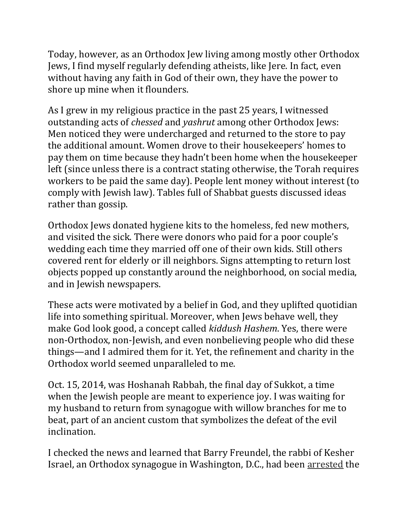Today, however, as an Orthodox Jew living among mostly other Orthodox Jews, I find myself regularly defending atheists, like Jere. In fact, even without having any faith in God of their own, they have the power to shore up mine when it flounders.

As I grew in my religious practice in the past 25 years, I witnessed outstanding acts of *chessed* and *yashrut* among other Orthodox Jews: Men noticed they were undercharged and returned to the store to pay the additional amount. Women drove to their housekeepers' homes to pay them on time because they hadn't been home when the housekeeper left (since unless there is a contract stating otherwise, the Torah requires workers to be paid the same day). People lent money without interest (to comply with Jewish law). Tables full of Shabbat guests discussed ideas rather than gossip.

Orthodox Jews donated hygiene kits to the homeless, fed new mothers, and visited the sick. There were donors who paid for a poor couple's wedding each time they married off one of their own kids. Still others covered rent for elderly or ill neighbors. Signs attempting to return lost objects popped up constantly around the neighborhood, on social media, and in Jewish newspapers.

These acts were motivated by a belief in God, and they uplifted quotidian life into something spiritual. Moreover, when Jews behave well, they make God look good, a concept called *kiddush Hashem*. Yes, there were non-Orthodox, non-Jewish, and even nonbelieving people who did these things—and I admired them for it. Yet, the refinement and charity in the Orthodox world seemed unparalleled to me.

Oct. 15, 2014, was Hoshanah Rabbah, the final day of Sukkot, a time when the Jewish people are meant to experience joy. I was waiting for my husband to return from synagogue with willow branches for me to beat, part of an ancient custom that symbolizes the defeat of the evil inclination.

I checked the news and learned that Barry Freundel, the rabbi of Kesher Israel, an Orthodox synagogue in Washington, D.C., had been [arrested](https://www.tabletmag.com/tag/barry-freundel) the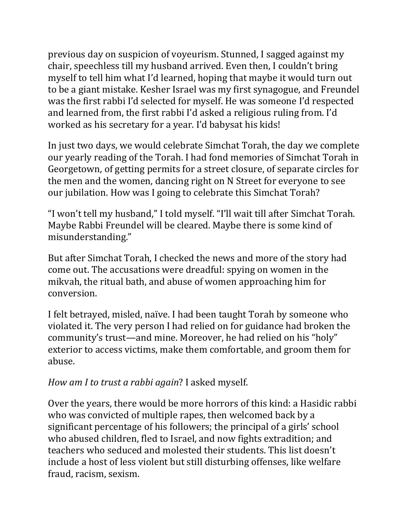previous day on suspicion of voyeurism. Stunned, I sagged against my chair, speechless till my husband arrived. Even then, I couldn't bring myself to tell him what I'd learned, hoping that maybe it would turn out to be a giant mistake. Kesher Israel was my first synagogue, and Freundel was the first rabbi I'd selected for myself. He was someone I'd respected and learned from, the first rabbi I'd asked a religious ruling from. I'd worked as his secretary for a year. I'd babysat his kids!

In just two days, we would celebrate Simchat Torah, the day we complete our yearly reading of the Torah. I had fond memories of Simchat Torah in Georgetown, of getting permits for a street closure, of separate circles for the men and the women, dancing right on N Street for everyone to see our jubilation. How was I going to celebrate this Simchat Torah?

"I won't tell my husband," I told myself. "I'll wait till after Simchat Torah. Maybe Rabbi Freundel will be cleared. Maybe there is some kind of misunderstanding."

But after Simchat Torah, I checked the news and more of the story had come out. The accusations were dreadful: spying on women in the mikvah, the ritual bath, and abuse of women approaching him for conversion.

I felt betrayed, misled, naïve. I had been taught Torah by someone who violated it. The very person I had relied on for guidance had broken the community's trust—and mine. Moreover, he had relied on his "holy" exterior to access victims, make them comfortable, and groom them for abuse.

## *How am I to trust a rabbi again*? I asked myself.

Over the years, there would be more horrors of this kind: a Hasidic rabbi who was convicted of multiple rapes, then welcomed back by a significant percentage of his followers; the principal of a girls' school who abused children, fled to Israel, and now fights extradition; and teachers who seduced and molested their students. This list doesn't include a host of less violent but still disturbing offenses, like welfare fraud, racism, sexism.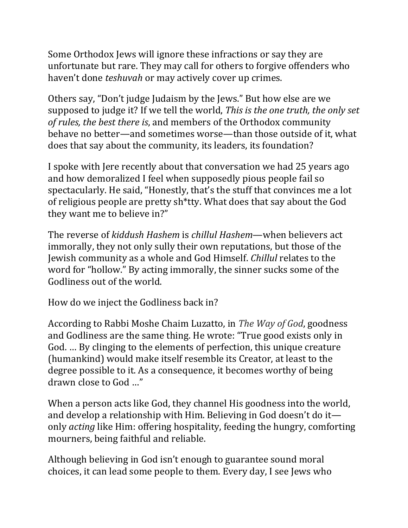Some Orthodox Jews will ignore these infractions or say they are unfortunate but rare. They may call for others to forgive offenders who haven't done *teshuvah* or may actively cover up crimes.

Others say, "Don't judge Judaism by the Jews." But how else are we supposed to judge it? If we tell the world, *This is the one truth, the only set of rules, the best there is*, and members of the Orthodox community behave no better—and sometimes worse—than those outside of it, what does that say about the community, its leaders, its foundation?

I spoke with Jere recently about that conversation we had 25 years ago and how demoralized I feel when supposedly pious people fail so spectacularly. He said, "Honestly, that's the stuff that convinces me a lot of religious people are pretty sh\*tty. What does that say about the God they want me to believe in?"

The reverse of *kiddush Hashem* is *chillul Hashem*—when believers act immorally, they not only sully their own reputations, but those of the Jewish community as a whole and God Himself. *Chillul* relates to the word for "hollow." By acting immorally, the sinner sucks some of the Godliness out of the world.

How do we inject the Godliness back in?

According to Rabbi Moshe Chaim Luzatto, in *The [Way](https://www.feldheim.com/way-of-g-d-derech-hashem-compact-edition-1) of God*, goodness and Godliness are the same thing. He wrote: "True good exists only in God. … By clinging to the elements of perfection, this unique creature (humankind) would make itself resemble its Creator, at least to the degree possible to it. As a consequence, it becomes worthy of being drawn close to God …"

When a person acts like God, they channel His goodness into the world, and develop a relationship with Him. Believing in God doesn't do it only *acting* like Him: offering hospitality, feeding the hungry, comforting mourners, being faithful and reliable.

Although believing in God isn't enough to guarantee sound moral choices, it can lead some people to them. Every day, I see Jews who